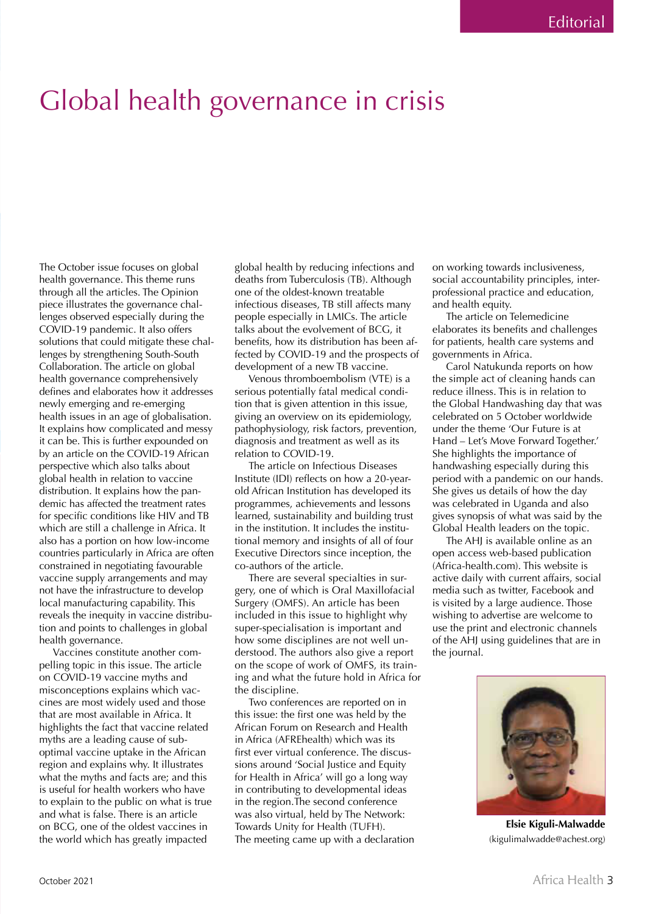## Global health governance in crisis

The October issue focuses on global health governance. This theme runs through all the articles. The Opinion piece illustrates the governance challenges observed especially during the COVID-19 pandemic. It also offers solutions that could mitigate these challenges by strengthening South-South Collaboration. The article on global health governance comprehensively defines and elaborates how it addresses newly emerging and re-emerging health issues in an age of globalisation. It explains how complicated and messy it can be. This is further expounded on by an article on the COVID-19 African perspective which also talks about global health in relation to vaccine distribution. It explains how the pandemic has affected the treatment rates for specific conditions like HIV and TB which are still a challenge in Africa. It also has a portion on how low-income countries particularly in Africa are often constrained in negotiating favourable vaccine supply arrangements and may not have the infrastructure to develop local manufacturing capability. This reveals the inequity in vaccine distribution and points to challenges in global health governance.

Vaccines constitute another compelling topic in this issue. The article on COVID-19 vaccine myths and misconceptions explains which vaccines are most widely used and those that are most available in Africa. It highlights the fact that vaccine related myths are a leading cause of suboptimal vaccine uptake in the African region and explains why. It illustrates what the myths and facts are; and this is useful for health workers who have to explain to the public on what is true and what is false. There is an article on BCG, one of the oldest vaccines in the world which has greatly impacted

global health by reducing infections and deaths from Tuberculosis (TB). Although one of the oldest-known treatable infectious diseases, TB still affects many people especially in LMICs. The article talks about the evolvement of BCG, it benefits, how its distribution has been affected by COVID-19 and the prospects of development of a new TB vaccine.

Venous thromboembolism (VTE) is a serious potentially fatal medical condition that is given attention in this issue, giving an overview on its epidemiology, pathophysiology, risk factors, prevention, diagnosis and treatment as well as its relation to COVID-19.

The article on Infectious Diseases Institute (IDI) reflects on how a 20-yearold African Institution has developed its programmes, achievements and lessons learned, sustainability and building trust in the institution. It includes the institutional memory and insights of all of four Executive Directors since inception, the co-authors of the article.

There are several specialties in surgery, one of which is Oral Maxillofacial Surgery (OMFS). An article has been included in this issue to highlight why super-specialisation is important and how some disciplines are not well understood. The authors also give a report on the scope of work of OMFS, its training and what the future hold in Africa for the discipline.

Two conferences are reported on in this issue: the first one was held by the African Forum on Research and Health in Africa (AFREhealth) which was its first ever virtual conference. The discussions around 'Social Justice and Equity for Health in Africa' will go a long way in contributing to developmental ideas in the region.The second conference was also virtual, held by The Network: Towards Unity for Health (TUFH). The meeting came up with a declaration on working towards inclusiveness, social accountability principles, interprofessional practice and education, and health equity.

The article on Telemedicine elaborates its benefits and challenges for patients, health care systems and governments in Africa.

Carol Natukunda reports on how the simple act of cleaning hands can reduce illness. This is in relation to the Global Handwashing day that was celebrated on 5 October worldwide under the theme 'Our Future is at Hand – Let's Move Forward Together.' She highlights the importance of handwashing especially during this period with a pandemic on our hands. She gives us details of how the day was celebrated in Uganda and also gives synopsis of what was said by the Global Health leaders on the topic.

The AHJ is available online as an open access web-based publication (Africa-health.com). This website is active daily with current affairs, social media such as twitter, Facebook and is visited by a large audience. Those wishing to advertise are welcome to use the print and electronic channels of the AHJ using guidelines that are in the journal.



**Elsie Kiguli-Malwadde** (kigulimalwadde@achest.org)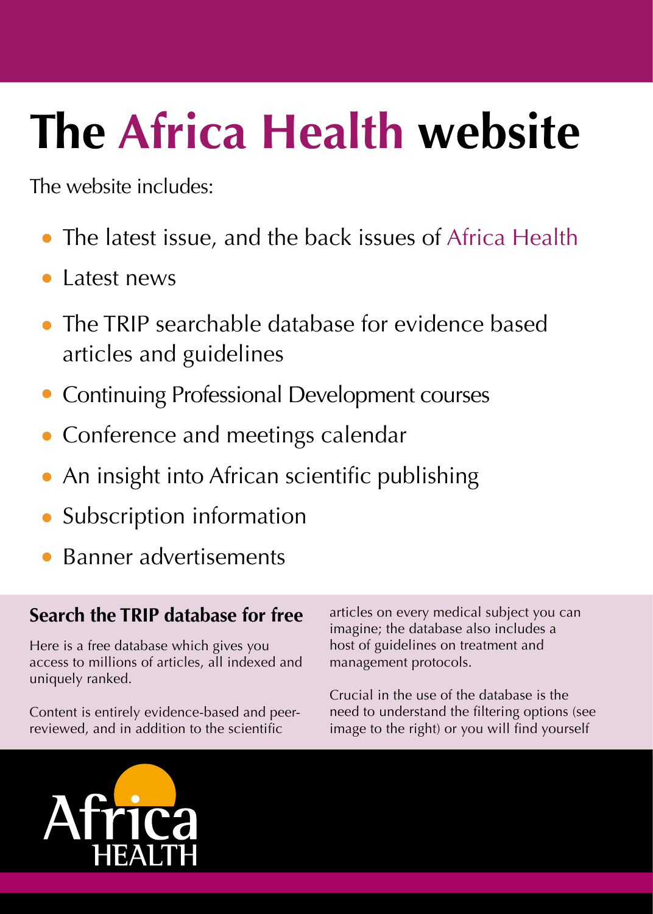# The Africa Health website

The website includes:

- The latest issue, and the back issues of Africa Health
- Latest news
- The TRIP searchable database for evidence based articles and guidelines
- **Continuing Professional Development courses**
- Conference and meetings calendar
- An insight into African scientific publishing
- Subscription information
- Banner advertisements

#### Search the TRIP database for free

Here is a free database which gives you access to millions of articles, all indexed and uniquely ranked.

Content is entirely evidence-based and peerreviewed, and in addition to the scientific

articles on every medical subject you can imagine; the database also includes a host of guidelines on treatment and management protocols.

Crucial in the use of the database is the need to understand the filtering options (see image to the right) or you will find yourself